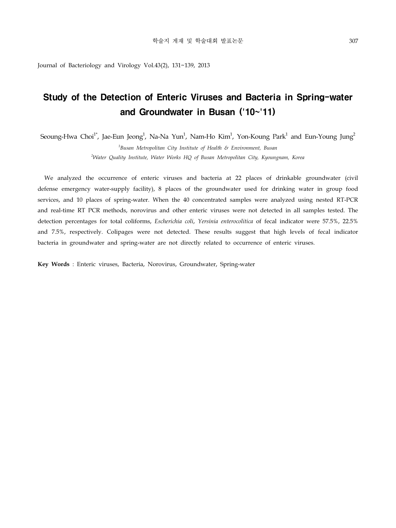Journal of Bacteriology and Virology Vol.43(2), 131~139, 2013

# Study of the Detection of Enteric Viruses and Bacteria in Spring-water and Groundwater in Busan ('10~'11)

Seoung-Hwa Choi $^{\text{1*}}$ , Jae-Eun Jeong $^{\text{1}}$ , Na-Na Yun $^{\text{1}}$ , Nam-Ho Kim $^{\text{1}}$ , Yon-Koung Park $^{\text{1}}$  and Eun-Young Jung $^{\text{2}}$ *1 Busan Metropolitan City Institute of Health & Environment, Busan* 

*2 Water Quality Institute, Water Works HQ of Busan Metropolitan City, Kyoungnam, Korea* 

We analyzed the occurrence of enteric viruses and bacteria at 22 places of drinkable groundwater (civil defense emergency water-supply facility), 8 places of the groundwater used for drinking water in group food services, and 10 places of spring-water. When the 40 concentrated samples were analyzed using nested RT-PCR and real-time RT PCR methods, norovirus and other enteric viruses were not detected in all samples tested. The detection percentages for total coliforms, *Escherichia coli*, *Yersinia enterocolitica* of fecal indicator were 57.5%, 22.5% and 7.5%, respectively. Colipages were not detected. These results suggest that high levels of fecal indicator bacteria in groundwater and spring-water are not directly related to occurrence of enteric viruses.

**Key Words** : Enteric viruses, Bacteria, Norovirus, Groundwater, Spring-water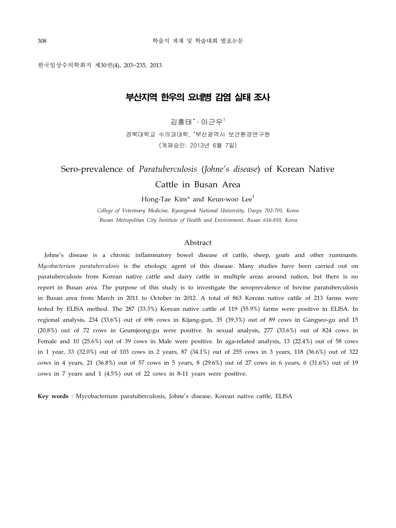한국임상수의학회지 제30권(4), 203~235, 2013

### 부산지역 한우의 요네병 감염 실태 조사

김홍태\* · 이근우1

경북대학교 수의과대학, \* 부산광역시 보건환경연구원 (게재승인: 2013년 6월 7일)

Sero-prevalence of *Paratuberculosis* (*Johne's disease*) of Korean Native

### Cattle in Busan Area

Hong-Tae Kim*\** and Keun-woo Lee<sup>1</sup>

*College of Veterinary Medicine, Kyungpook National University, Daegu 702-701, Korea \* Busan Metropolitan City Institute of Health and Environment, Busan 616-810, Korea*

#### Abstract

Johne's disease is a chronic inflammatory bowel disease of cattle, sheep, goats and other ruminants. *Mycobacterium paratuberculosis* is the etiologic agent of this disease. Many studies have been carried out on paratuberculosis from Korean native cattle and dairy cattle in multiple areas around nation, but there is no report in Busan area. The purpose of this study is to investigate the seroprevalence of bovine paratuberculosis in Busan area from March in 2011 to October in 2012. A total of 863 Korean native cattle of 213 farms were tested by ELISA method. The 287 (33.3%) Korean native cattle of 119 (55.9%) farms were positive in ELISA. In regional analysis, 234 (33.6%) out of 696 cows in Kijang-gun, 35 (39.3%) out of 89 cows in Gangseo-gu and 15 (20.8%) out of 72 cows in Geumjeong-gu were positive. In sexual analysis, 277 (33.6%) out of 824 cows in Female and 10 (25.6%) out of 39 cows in Male were positive. In aga-related analysis, 13 (22.4%) out of 58 cows in 1 year, 33 (32.0%) out of 103 cows in 2 years, 87 (34.1%) out of 255 cows in 3 years, 118 (36.6%) out of 322 cows in 4 years, 21 (36.8%) out of 57 cows in 5 years, 8 (29.6%) out of 27 cows in 6 years, 6 (31.6%) out of 19 cows in 7 years and 1 (4.5%) out of 22 cows in 8-11 years were positive.

**Key words** : Mycobacterium paratuberculosis, Johne's disease, Korean native cattle, ELISA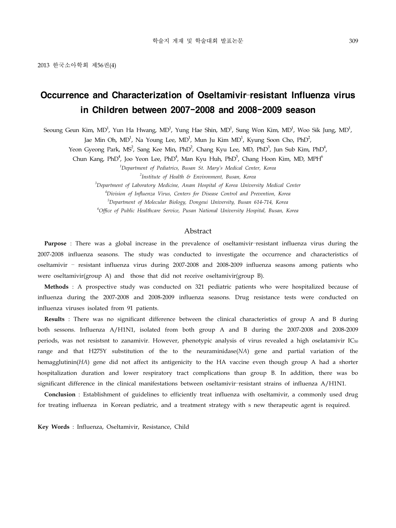# Occurrence and Characterization of Oseltamivir–resistant Influenza virus in Children between 2007-2008 and 2008-2009 season

Seoung Geun Kim, MD<sup>1</sup>, Yun Ha Hwang, MD<sup>1</sup>, Yung Hae Shin, MD<sup>1</sup>, Sung Won Kim, MD<sup>1</sup>, Woo Sik Jung, MD<sup>1</sup>,

Jae Min Oh, MD<sup>1</sup>, Na Young Lee, MD<sup>1</sup>, Mun Ju Kim MD<sup>1</sup>, Kyung Soon Cho, PhD<sup>2</sup>,

Yeon Gyeong Park, MS<sup>2</sup>, Sang Kee Min, PhD<sup>2</sup>, Chang Kyu Lee, MD, PhD<sup>3</sup>, Jun Sub Kim, PhD<sup>4</sup>,

Chun Kang, PhD<sup>4</sup>, Joo Yeon Lee, PhD<sup>4</sup>, Man Kyu Huh, PhD<sup>5</sup>, Chang Hoon Kim, MD, MPH<sup>6</sup>

*1 Department of Pediatrics, Busan St. Mary's Medical Center, Korea*

*2 Institute of Health & Environment, Busan, Korea*

*3 Department of Laboratory Medicine, Anam Hospital of Korea University Medical Center*

*4 Division of Influenza Virus, Centers for Disease Control and Prevention, Korea*

*5 Department of Molecular Biology, Dongeui University, Busan 614-714, Korea*

*6 Office of Public Healthcare Service, Pusan National University Hospital, Busan, Korea*

#### Abstract

**Purpose** : There was a global increase in the prevalence of oseltamivir–resistant influenza virus during the 2007-2008 influenza seasons. The study was conducted to investigate the occurrence and characteristics of oseltamivir – resistant influenza virus during 2007-2008 and 2008-2009 influenza seasons among patients who were oseltamivir(group A) and those that did not receive oseltamivir(group B).

**Methods** : A prospective study was conducted on 321 pediatric patients who were hospitalized because of influenza during the 2007-2008 and 2008-2009 influenza seasons. Drug resistance tests were conducted on influenza viruses isolated from 91 patients.

**Results** : There was no significant difference between the clinical characteristics of group A and B during both sessons. Influenza A/H1N1, isolated from both group A and B during the 2007-2008 and 2008-2009 periods, was not resistsnt to zanamivir. However, phenotypic analysis of virus revealed a high oselatamivir  $IC_{50}$ range and that H275Y substitution of the to the neuraminidase(*NA*) gene and partial variation of the hemagglutinin(*HA*) gene did not affect its antigenicity to the HA vaccine even though group A had a shorter hospitalization duration and lower respiratory tract complications than group B. In addition, there was bo significant difference in the clinical manifestations between oseltamivir–resistant strains of influenza A/H1N1.

**Conclusion** : Establishment of guidelines to efficiently treat influenza with oseltamivir, a commonly used drug for treating influenza in Korean pediatric, and a treatment strategy with s new therapeutic agent is required.

**Key Words** : Influenza, Oseltamivir, Resistance, Child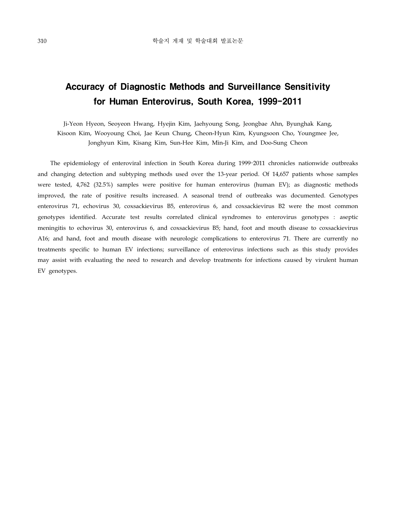# Accuracy of Diagnostic Methods and Surveillance Sensitivity for Human Enterovirus, South Korea, 1999-2011

Ji-Yeon Hyeon, Seoyeon Hwang, Hyejin Kim, Jaehyoung Song, Jeongbae Ahn, Byunghak Kang, Kisoon Kim, Wooyoung Choi, Jae Keun Chung, Cheon-Hyun Kim, Kyungsoon Cho, Youngmee Jee, Jonghyun Kim, Kisang Kim, Sun-Hee Kim, Min-Ji Kim, and Doo-Sung Cheon

 The epidemiology of enteroviral infection in South Korea during 1999–2011 chronicles nationwide outbreaks and changing detection and subtyping methods used over the 13-year period. Of 14,657 patients whose samples were tested, 4,762 (32.5%) samples were positive for human enterovirus (human EV); as diagnostic methods improved, the rate of positive results increased. A seasonal trend of outbreaks was documented. Genotypes enterovirus 71, echovirus 30, coxsackievirus B5, enterovirus 6, and coxsackievirus B2 were the most common genotypes identified. Accurate test results correlated clinical syndromes to enterovirus genotypes : aseptic meningitis to echovirus 30, enterovirus 6, and coxsackievirus B5; hand, foot and mouth disease to coxsackievirus A16; and hand, foot and mouth disease with neurologic complications to enterovirus 71. There are currently no treatments specific to human EV infections; surveillance of enterovirus infections such as this study provides may assist with evaluating the need to research and develop treatments for infections caused by virulent human EV genotypes.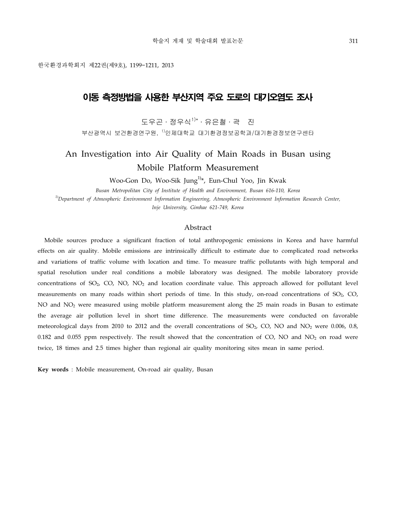# 이동 측정방법을 사용한 부산지역 주요 도로의 대기오염도 조사

도우곤 · 정우식1)\* · 유은철 · 곽 진

부산광역시 보건환경연구원, 1)인제대학교 대기환경정보공학과/대기환경정보연구센타

# An Investigation into Air Quality of Main Roads in Busan using Mobile Platform Measurement

Woo-Gon Do, Woo-Sik Jung<sup>1)\*</sup>, Eun-Chul Yoo, Jin Kwak

*Busan Metropolitan City of Institute of Health and Environment, Busan 616-110, Korea 1)Department of Atmospheric Environment Information Engineering, Atmospheric Environment Information Research Center, Inje University, Gimhae 621-749, Korea*

#### Abstract

Mobile sources produce a significant fraction of total anthropogenic emissions in Korea and have harmful effects on air quality. Mobile emissions are intrinsically difficult to estimate due to complicated road networks and variations of traffic volume with location and time. To measure traffic pollutants with high temporal and spatial resolution under real conditions a mobile laboratory was designed. The mobile laboratory provide concentrations of  $SO_2$ ,  $CO$ ,  $NO$ ,  $NO_2$  and location coordinate value. This approach allowed for pollutant level measurements on many roads within short periods of time. In this study, on-road concentrations of  $SO<sub>2</sub>$ ,  $CO<sub>2</sub>$ NO and NO<sub>2</sub> were measured using mobile platform measurement along the 25 main roads in Busan to estimate the average air pollution level in short time difference. The measurements were conducted on favorable meteorological days from 2010 to 2012 and the overall concentrations of  $SO<sub>2</sub>$ , CO, NO and NO<sub>2</sub> were 0.006, 0.8, 0.182 and 0.055 ppm respectively. The result showed that the concentration of CO, NO and NO<sub>2</sub> on road were twice, 18 times and 2.5 times higher than regional air quality monitoring sites mean in same period.

**Key words** : Mobile measurement, On-road air quality, Busan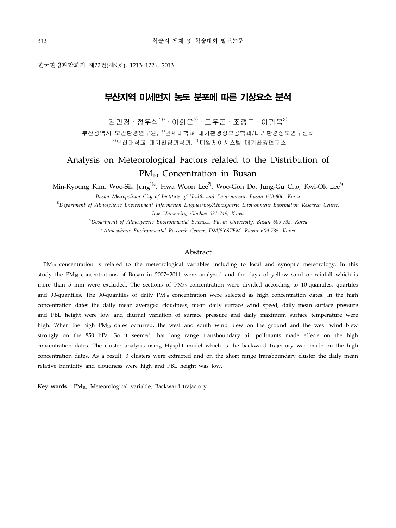한국환경과학회지 제22권(제9호), 1213~1226, 2013

### 부산지역 미세먼지 농도 분포에 따른 기상요소 분석

김민경 · 정우식1)\* · 이화운2) · 도우곤 · 조정구 · 이귀옥3)

부산광역시 보건환경연구원, <sup>1)</sup>인제대학교 대기환경정보공학과/대기환경정보연구센터  $^{2)}$ 부산대학교 대기환경과학과,  $^{3)}$ 디엠제이시스템 대기환경연구소

## Analysis on Meteorological Factors related to the Distribution of PM10 Concentration in Busan

Min-Kyoung Kim, Woo-Sik Jung<sup>1)\*</sup>, Hwa Woon Lee<sup>2)</sup>, Woo-Gon Do, Jung-Gu Cho, Kwi-Ok Lee<sup>3)</sup>

*Busan Metropolitan City of Institute of Health and Environment, Busan 613-806, Korea*

*1)Department of Atmospheric Environment Information Engineering/Atmospheric Environment Information Research Center, Inje University, Gimhae 621-749, Korea*

*2)Department of Atmospheric Environmental Sciences, Pusan University, Busan 609-735, Korea 3)Atmospheric Environmental Research Center, DMJSYSTEM, Busan 609-735, Korea*

#### Abstract

PM<sub>10</sub> concentration is related to the meteorological variables including to local and synoptic meteorology. In this study the PM<sub>10</sub> concentrations of Busan in 2007~2011 were analyzed and the days of yellow sand or rainfall which is more than 5 mm were excluded. The sections of  $PM_{10}$  concentration were divided according to 10-quantiles, quartiles and 90-quantiles. The 90-quantiles of daily  $PM_{10}$  concentration were selected as high concentration dates. In the high concentration dates the daily mean averaged cloudness, mean daily surface wind speed, daily mean surface pressure and PBL height were low and diurnal variation of surface pressure and daily maximum surface temperature were high. When the high PM<sub>10</sub> dates occurred, the west and south wind blew on the ground and the west wind blew strongly on the 850 hPa. So it seemed that long range transboundary air pollutants made effects on the high concentration dates. The cluster analysis using Hysplit model which is the backward trajectory was made on the high concentration dates. As a result, 3 clusters were extracted and on the short range transboundary cluster the daily mean relative humidity and cloudness were high and PBL height was low.

**Key words** : PM10, Meteorological variable, Backward trajactory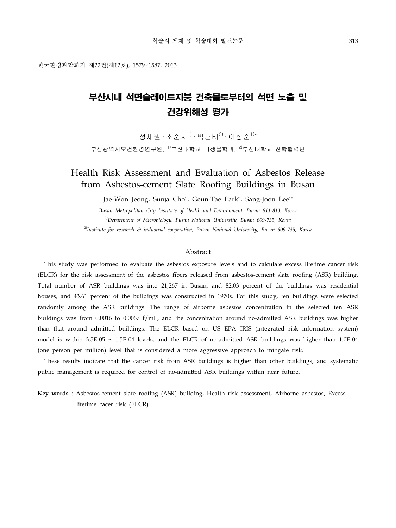# 부산시내 석면슬레이트지붕 건축물로부터의 석면 노출 및 건강위해성 평가

정재원 ․ 조순자1) ․ 박근태2) ․ 이상준1)\* 부산광역시보건환경연구원, <sup>1)</sup>부산대학교 미생물학과, <sup>2)</sup>부산대학교 산학협력단

### Health Risk Assessment and Evaluation of Asbestos Release from Asbestos-cement Slate Roofing Buildings in Busan

Jae-Won Jeong, Sunja Cho<sup>1</sup>, Geun-Tae Park<sup>2</sup>, Sang-Joon Lee<sup>1)\*</sup>

*Busan Metropolitan City Institute of Health and Environment, Busan 611-813, Korea 1)Department of Microbiology, Pusan National University, Busan 609-735, Korea 2)Institute for research & industrial cooperation, Pusan National University, Busan 609-735, Korea*

#### Abstract

This study was performed to evaluate the asbestos exposure levels and to calculate excess lifetime cancer risk (ELCR) for the risk assessment of the asbestos fibers released from asbestos-cement slate roofing (ASR) building. Total number of ASR buildings was into 21,267 in Busan, and 82.03 percent of the buildings was residential houses, and 43.61 percent of the buildings was constructed in 1970s. For this study, ten buildings were selected randomly among the ASR buildings. The range of airborne asbestos concentration in the selected ten ASR buildings was from 0.0016 to 0.0067 f/mL, and the concentration around no-admitted ASR buildings was higher than that around admitted buildings. The ELCR based on US EPA IRIS (integrated risk information system) model is within 3.5E-05 ~ 1.5E-04 levels, and the ELCR of no-admitted ASR buildings was higher than 1.0E-04 (one person per million) level that is considered a more aggressive approach to mitigate risk.

These results indicate that the cancer risk from ASR buildings is higher than other buildings, and systematic public management is required for control of no-admitted ASR buildings within near future.

**Key words** : Asbestos-cement slate roofing (ASR) building, Health risk assessment, Airborne asbestos, Excess lifetime cacer risk (ELCR)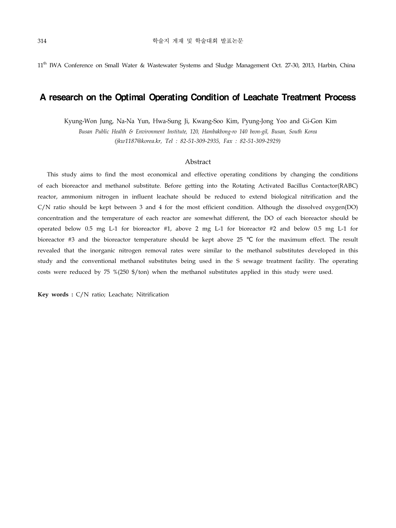### A research on the Optimal Operating Condition of Leachate Treatment Process

Kyung-Won Jung, Na-Na Yun, Hwa-Sung Ji, Kwang-Soo Kim, Pyung-Jong Yoo and Gi-Gon Kim

*Busan Public Health & Environment Institute, 120, Hambakbong-ro 140 beon-gil, Busan, South Korea*

*(jkw1187@korea.kr, Tel : 82-51-309-2935, Fax : 82-51-309-2929)* 

#### Abstract

 This study aims to find the most economical and effective operating conditions by changing the conditions of each bioreactor and methanol substitute. Before getting into the Rotating Activated Bacillus Contactor(RABC) reactor, ammonium nitrogen in influent leachate should be reduced to extend biological nitrification and the C/N ratio should be kept between 3 and 4 for the most efficient condition. Although the dissolved oxygen(DO) concentration and the temperature of each reactor are somewhat different, the DO of each bioreactor should be operated below 0.5 mg L-1 for bioreactor #1, above 2 mg L-1 for bioreactor #2 and below 0.5 mg L-1 for bioreactor #3 and the bioreactor temperature should be kept above 25 ℃ for the maximum effect. The result revealed that the inorganic nitrogen removal rates were similar to the methanol substitutes developed in this study and the conventional methanol substitutes being used in the S sewage treatment facility. The operating costs were reduced by 75 %(250 \$/ton) when the methanol substitutes applied in this study were used.

**Key words :** C/N ratio; Leachate; Nitrification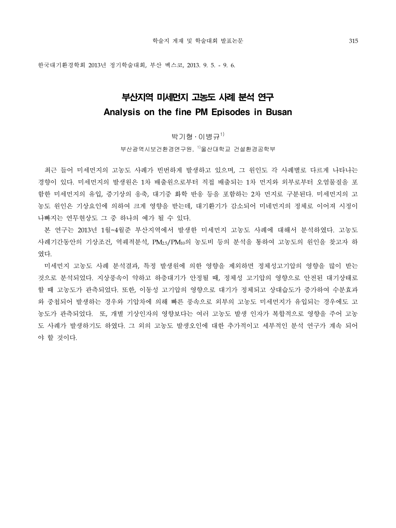한국대기환경학회 2013년 정기학술대회, 부산 벡스코, 2013. 9. 5. - 9. 6.

# 부산지역 미세먼지 고농도 사례 분석 연구 Analysis on the fine PM Episodes in Busan

### 박기형  $\cdot$  이병규 $^{1)}$

부산광역시보건환경연구원, <sup>1)</sup>울산대학교 건설환경공학부

 최근 들어 미세먼지의 고농도 사례가 빈번하게 발생하고 있으며, 그 원인도 각 사례별로 다르게 나타나는 경향이 있다. 미세먼지의 발생원은 1차 배출원으로부터 직접 배출되는 1차 먼지와 외부로부터 오염물질을 포 함한 미세먼지의 유입, 증기상의 응축, 대기중 화학 반응 등을 포함하는 2차 먼지로 구분된다. 미세먼지의 고 농도 원인은 기상요인에 의하여 크게 영향을 받는데, 대기환기가 감소되어 미네먼지의 정체로 이어져 시정이 나빠지는 연무현상도 그 중 하나의 예가 될 수 있다.

 본 연구는 2013년 1월~4월준 부산지역에서 발생한 미세먼지 고농도 사례에 대해서 분석하였다. 고농도 사례기간동안의 기상조건, 역궤적분석, PM2.5/PM10의 농도비 등의 분석을 통하여 고농도의 원인을 찾고자 하 였다.

 미세먼지 고농도 사례 분석결과, 특정 발생원에 의한 영향을 제외하면 정체성고기압의 영향을 많이 받는 것으로 분석되었다. 지상풍속이 약하고 하층대기가 안정될 때, 정체성 고기압의 영향으로 안전된 대기상태로 할 때 고농도가 관측되었다. 또한, 이동성 고기압의 영향으로 대기가 정체되고 상대습도가 증가하여 수분효과 와 중첩되어 발생하는 경우와 기압차에 의해 빠른 풍속으로 외부의 고농도 미세먼지가 유입되는 경우에도 고 농도가 관측되었다. 또, 개별 기상인자의 영향보다는 여러 고농도 발생 인자가 복합적으로 영향을 주어 고농 도 사례가 발생하기도 하였다. 그 외의 고농도 발생오인에 대한 추가적이고 세부적인 분석 연구가 계속 되어 야 할 것이다.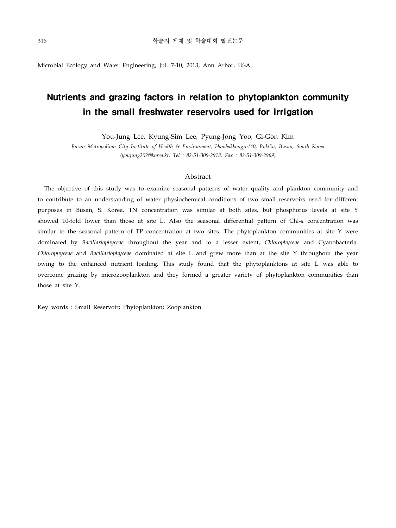Microbial Ecology and Water Engineering, Jul. 7-10, 2013, Ann Arbor, USA

# Nutrients and grazing factors in relation to phytoplankton community in the small freshwater reservoirs used for irrigation

You-Jung Lee, Kyung-Sim Lee, Pyung-Jong Yoo, Gi-Gon Kim

*Busan Metropolitan City Institute of Health & Environment, Hambakbongro140, BukGu, Busan, South Korea (youjung202@korea.kr, Tel : 82-51-309-2918, Fax : 82-51-309-2969)* 

#### Abstract

The objective of this study was to examine seasonal patterns of water quality and plankton community and to contribute to an understanding of water physiochemical conditions of two small reservoirs used for different purposes in Busan, S. Korea. TN concentration was similar at both sites, but phosphorus levels at site Y showed 10-fold lower than those at site L. Also the seasonal differential pattern of Chl-*a* concentration was similar to the seasonal pattern of TP concentration at two sites. The phytoplankton communities at site Y were dominated by *Bacillariophyceae* throughout the year and to a lesser extent, *Chlorophyceae* and Cyanobacteria. *Chlorophyceae* and *Bacillariophyceae* dominated at site L and grew more than at the site Y throughout the year owing to the enhanced nutrient loading. This study found that the phytoplanktons at site L was able to overcome grazing by microzooplankton and they formed a greater variety of phytoplankton communities than those at site Y.

Key words : Small Reservoir; Phytoplankton; Zooplankton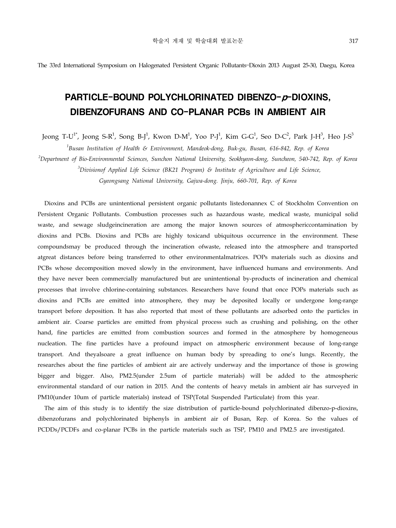The 33rd International Symposium on Halogenated Persistent Organic Pollutants–Dioxin 2013 August 25-30, Daegu, Korea

# PARTICLE-BOUND POLYCHLORINATED DIBENZO-p-DIOXINS, DIBENZOFURANS AND CO-PLANAR PCBs IN AMBIENT AIR

Jeong T-U $^{1*}$ , Jeong S-R $^{1}$ , Song B-J $^{1}$ , Kwon D-M $^{1}$ , Yoo P-J $^{1}$ , Kim G-G $^{1}$ , Seo D-C $^{2}$ , Park J-H $^{3}$ , Heo J-S $^{3}$ 

*1 Busan Institution of Health & Environment, Mandeok-dong, Buk-gu, Busan, 616-842, Rep. of Korea* 

*2 Department of Bio-Environmental Sciences, Sunchon National University, Seokhyeon-dong, Suncheon, 540-742, Rep. of Korea 3 Divisionof Applied Life Science (BK21 Program) & Institute of Agriculture and Life Science,*

*Gyeongsang National University, Gajwa-dong. Jinju, 660-701, Rep. of Korea* 

Dioxins and PCBs are unintentional persistent organic pollutants listedonannex C of Stockholm Convention on Persistent Organic Pollutants. Combustion processes such as hazardous waste, medical waste, municipal solid waste, and sewage sludgeincineration are among the major known sources of atmosphericcontamination by dioxins and PCBs. Dioxins and PCBs are highly toxicand ubiquitous occurrence in the environment. These compoundsmay be produced through the incineration ofwaste, released into the atmosphere and transported atgreat distances before being transferred to other environmentalmatrices. POPs materials such as dioxins and PCBs whose decomposition moved slowly in the environment, have influenced humans and environments. And they have never been commercially manufactured but are unintentional by-products of incineration and chemical processes that involve chlorine-containing substances. Researchers have found that once POPs materials such as dioxins and PCBs are emitted into atmosphere, they may be deposited locally or undergone long-range transport before deposition. It has also reported that most of these pollutants are adsorbed onto the particles in ambient air. Coarse particles are emitted from physical process such as crushing and polishing, on the other hand, fine particles are emitted from combustion sources and formed in the atmosphere by homogeneous nucleation. The fine particles have a profound impact on atmospheric environment because of long-range transport. And theyalsoare a great influence on human body by spreading to one's lungs. Recently, the researches about the fine particles of ambient air are actively underway and the importance of those is growing bigger and bigger. Also, PM2.5(under 2.5um of particle materials) will be added to the atmospheric environmental standard of our nation in 2015. And the contents of heavy metals in ambient air has surveyed in PM10(under 10um of particle materials) instead of TSP(Total Suspended Particulate) from this year.

The aim of this study is to identify the size distribution of particle-bound polychlorinated dibenzo-p-dioxins, dibenzofurans and polychlorinated biphenyls in ambient air of Busan, Rep. of Korea. So the values of PCDDs/PCDFs and co-planar PCBs in the particle materials such as TSP, PM10 and PM2.5 are investigated.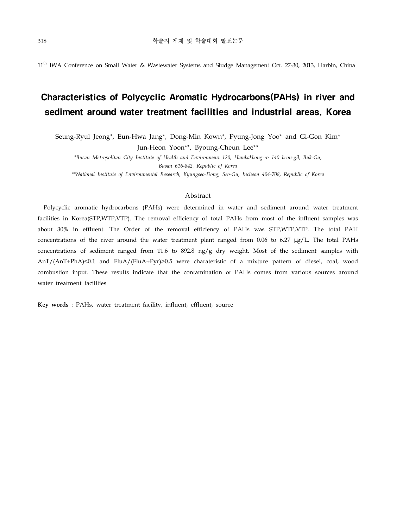11th IWA Conference on Small Water & Wastewater Systems and Sludge Management Oct. 27-30, 2013, Harbin, China

# Characteristics of Polycyclic Aromatic Hydrocarbons(PAHs) in river and sediment around water treatment facilities and industrial areas, Korea

Seung-Ryul Jeong\*, Eun-Hwa Jang\*, Dong-Min Kown\*, Pyung-Jong Yoo\* and Gi-Gon Kim\* Jun-Heon Yoon\*\*, Byoung-Cheun Lee\*\*

*\*Busan Metropolitan City Institute of Health and Environment 120, Hambakbong-ro 140 beon-gil, Buk-Gu, Busan 616-842, Republic of Korea*

*\*\*National Institute of Environmental Research, Kyungseo-Dong, Seo-Gu, Incheon 404-708, Republic of Korea*

#### Abstract

 Polycyclic aromatic hydrocarbons (PAHs) were determined in water and sediment around water treatment facilities in Korea(STP,WTP,VTP). The removal efficiency of total PAHs from most of the influent samples was about 30% in effluent. The Order of the removal efficiency of PAHs was STP,WTP,VTP. The total PAH concentrations of the river around the water treatment plant ranged from 0.06 to 6.27 μg/L. The total PAHs concentrations of sediment ranged from 11.6 to 892.8 ng/g dry weight. Most of the sediment samples with AnT/(AnT+PhA)<0.1 and FluA/(FluA+Pyr)>0.5 were charateristic of a mixture pattern of diesel, coal, wood combustion input. These results indicate that the contamination of PAHs comes from various sources around water treatment facilities

**Key words** : PAHs, water treatment facility, influent, effluent, source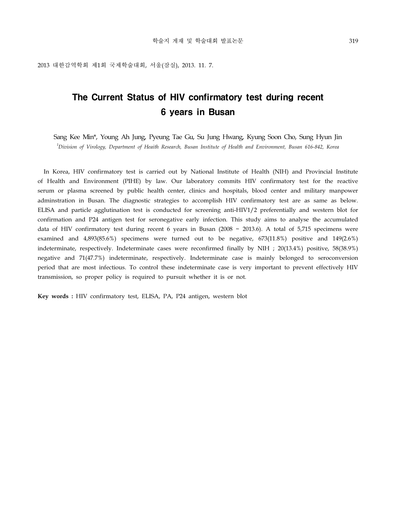2013 대한감역학회 제1회 국제학술대회, 서울(잠실), 2013. 11. 7.

# The Current Status of HIV confirmatory test during recent 6 years in Busan

Sang Kee Min\*, Young Ah Jung, Pyeung Tae Gu, Su Jung Hwang, Kyung Soon Cho, Sung Hyun Jin *1 Division of Virology, Department of Heaith Research, Busan Institute of Health and Environment, Busan 616-842, Korea*

 In Korea, HIV confirmatory test is carried out by National Institute of Health (NIH) and Provincial Institute of Health and Environment (PIHE) by law. Our laboratory commits HIV confirmatory test for the reactive serum or plasma screened by public health center, clinics and hospitals, blood center and military manpower adminstration in Busan. The diagnostic strategies to accomplish HIV confirmatory test are as same as below. ELISA and particle agglutination test is conducted for screening anti-HIV1/2 preferentially and western blot for confirmation and P24 antigen test for seronegative early infection. This study aims to analyse the accumulated data of HIV confirmatory test during recent 6 years in Busan (2008  $\sim$  2013.6). A total of 5,715 specimens were examined and 4,893(85.6%) specimens were turned out to be negative, 673(11.8%) positive and 149(2.6%) indeterminate, respectively. Indeterminate cases were reconfirmed finally by NIH ; 20(13.4%) positive, 58(38.9%) negative and 71(47.7%) indeterminate, respectively. Indeterminate case is mainly belonged to seroconversion period that are most infectious. To control these indeterminate case is very important to prevent effectively HIV transmission, so proper policy is required to pursuit whether it is or not.

**Key words :** HIV confirmatory test, ELISA, PA, P24 antigen, western blot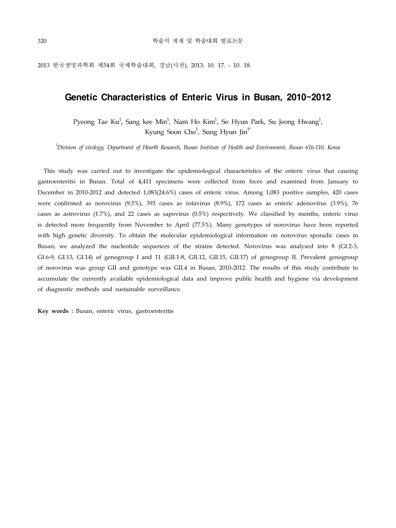2013 한국생명과학회 제54회 국제학술대회, 경남(사천), 2013. 10. 17. - 10. 18.

### Genetic Characteristics of Enteric Virus in Busan, 2010-2012

Pyeong Tae Ku $^1$ , Sang kee Min $^1$ , Nam Ho Kim $^1$ , So Hyun Park, Su Jeong Hwang $^1$ , Kyung Soon Cho $^1$ , Sung Hyun Jin $^{1^\ast}$ 

*1 Division of virology, Department of Hearth Research, Busan Institute of Health and Environment, Busan 616-110, Korea*

This study was carried out to investigate the epidemiological characteristics of the enteric virus that causing gastroenteritis in Busan. Total of 4,411 specimens were collected from feces and examined from January to December in 2010-2012 and detected 1,083(24.6%) cases of enteric virus. Among 1,083 positive samples, 420 cases were confirmed as norovirus (9.5%), 393 cases as rotavirus (8.9%), 172 cases as enteric adenovirus (3.9%), 76 cases as astrovirus (1.7%), and 22 cases as sapovirus (0.5%) respectively. We classified by months, enteric virus is detected more frequently from November to April (77.5%). Many genotypes of norovirus have been reported with high genetic diversity. To obtain the molecular epidemiological information on norovirus sporadic cases in Busan, we analyzed the nucleotide sequences of the strains detected. Norovirus was analysed into 8 (GI.2-3, GI.6-9, GI.13, GI.14) of genogroup I and 11 (GII.1-8, GII.12, GII.15, GII.17) of genogroup II. Prevalent genogroup of norovirus was group GII and genotype was GII.4 in Busan, 2010-2012. The results of this study contribute to accumulate the currently available epidemiological data and improve public health and hygiene via development of diagnostic methods and sustainable surveillance.

**Key words :** Busan, enteric virus, gastroenteritis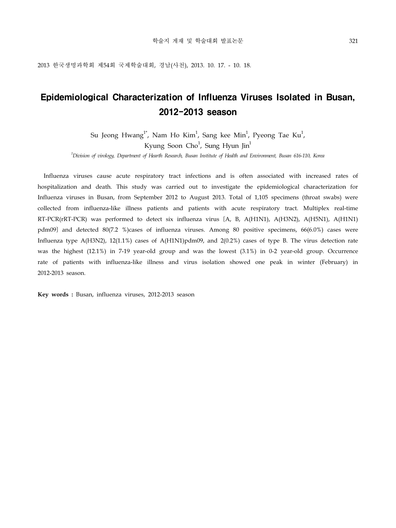2013 한국생명과학회 제54회 국제학술대회, 경남(사천), 2013. 10. 17. - 10. 18.

# Epidemiological Characterization of Influenza Viruses Isolated in Busan, 2012-2013 season

Su Jeong Hwang $^{\text{1*}}$ , Nam Ho Kim $^{\text{1}}$ , Sang kee Min $^{\text{1}}$ , Pyeong Tae Ku $^{\text{1}}$ , Kyung Soon Cho $^1$ , Sung Hyun Jin $^1$ 

*1 Division of virology, Department of Hearth Research, Busan Institute of Health and Environment, Busan 616-110, Korea*

Influenza viruses cause acute respiratory tract infections and is often associated with increased rates of hospitalization and death. This study was carried out to investigate the epidemiological characterization for Influenza viruses in Busan, from September 2012 to August 2013. Total of 1,105 specimens (throat swabs) were collected from influenza-like illness patients and patients with acute respiratory tract. Multiplex real-time RT-PCR(rRT-PCR) was performed to detect six influenza virus〔A, B, A(H1N1), A(H3N2), A(H5N1), A(H1N1) pdm09〕and detected 80(7.2 %)cases of influenza viruses. Among 80 positive specimens, 66(6.0%) cases were Influenza type A(H3N2), 12(1.1%) cases of A(H1N1)pdm09, and 2(0.2%) cases of type B. The virus detection rate was the highest (12.1%) in 7-19 year-old group and was the lowest (3.1%) in 0-2 year-old group. Occurrence rate of patients with influenza-like illness and virus isolation showed one peak in winter (February) in 2012-2013 season.

**Key words :** Busan, influenza viruses, 2012-2013 season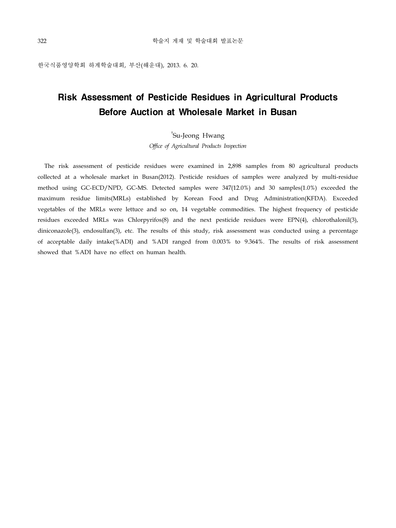한국식품영양학회 하계학술대회, 부산(해운대), 2013. 6. 20.

# Risk Assessment of Pesticide Residues in Agricultural Products Before Auction at Wholesale Market in Busan

### † Su-Jeong Hwang

*Office of Agricultural Products Inspection*

The risk assessment of pesticide residues were examined in 2,898 samples from 80 agricultural products collected at a wholesale market in Busan(2012). Pesticide residues of samples were analyzed by multi-residue method using GC-ECD/NPD, GC-MS. Detected samples were 347(12.0%) and 30 samples(1.0%) exceeded the maximum residue limits(MRLs) established by Korean Food and Drug Administration(KFDA). Exceeded vegetables of the MRLs were lettuce and so on, 14 vegetable commodities. The highest frequency of pesticide residues exceeded MRLs was Chlorpyrifos(8) and the next pesticide residues were EPN(4), chlorothalonil(3), diniconazole(3), endosulfan(3), etc. The results of this study, risk assessment was conducted using a percentage of acceptable daily intake(%ADI) and %ADI ranged from 0.003% to 9.364%. The results of risk assessment showed that %ADI have no effect on human health.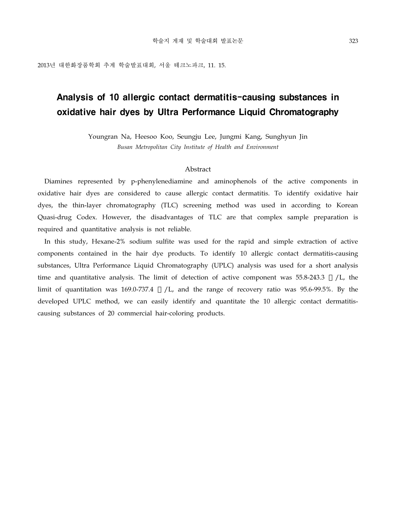# Analysis of 10 allergic contact dermatitis-causing substances in oxidative hair dyes by Ultra Performance Liquid Chromatography

Youngran Na, Heesoo Koo, Seungju Lee, Jungmi Kang, Sunghyun Jin *Busan Metropolitan City Institute of Health and Environment*

#### Abstract

 Diamines represented by p-phenylenediamine and aminophenols of the active components in oxidative hair dyes are considered to cause allergic contact dermatitis. To identify oxidative hair dyes, the thin-layer chromatography (TLC) screening method was used in according to Korean Quasi-drug Codex. However, the disadvantages of TLC are that complex sample preparation is required and quantitative analysis is not reliable.

 In this study, Hexane-2% sodium sulfite was used for the rapid and simple extraction of active components contained in the hair dye products. To identify 10 allergic contact dermatitis-causing substances, Ultra Performance Liquid Chromatography (UPLC) analysis was used for a short analysis time and quantitative analysis. The limit of detection of active component was 55.8-243.3 /L, the limit of quantitation was 169.0-737.4 /L, and the range of recovery ratio was 95.6-99.5%. By the developed UPLC method, we can easily identify and quantitate the 10 allergic contact dermatitiscausing substances of 20 commercial hair-coloring products.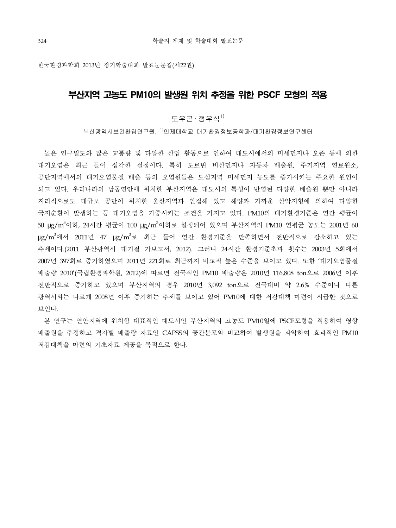한국환경과학회 2013년 정기학술대회 발표눈문집(제22권)

### 부산지역 고농도 PM10의 발생원 위치 추정을 위한 PSCF 모형의 적용

#### 도우곤·정우식 $^{1)}$

부산광역시보건환경연구원, <sup>1)</sup>인제대학교 대기환경정보공학과/대기환경정보연구센터

 높은 인구밀도와 많은 교통량 및 다양한 산업 활동으로 인하여 대도시에서의 미세먼지나 오존 등에 의한 대기오염은 최근 들어 심각한 실정이다. 특히 도로변 비산먼지나 자동차 배출원, 주거지역 연료원소, 공단지역에서의 대기오염물질 배출 등의 오염원들은 도심지역 미세먼지 농도를 증가시키는 주요한 원인이 되고 있다. 우리나라의 남동연안에 위치한 부산지역은 대도시의 특성이 반영된 다양한 배출원 뿐만 아니라 지리적으로도 대규모 공단이 위치한 울산지역과 인접해 있고 해양과 가까운 산악지형에 의하여 다양한 국지순환이 발생하는 등 대기오염을 가중시키는 조건을 가지고 있다. PM10의 대기환경기준은 연간 평균이 50 μg/m<sup>3</sup>이하, 24시간 평균이 100 μg/m<sup>3</sup>이하로 설정되어 있으며 부산지역의 PM10 연평균 농도는 2001년 60 μg/m<sup>3</sup>에서 2011년 47 μg/m<sup>3</sup>로 최근 들어 연간 환경기준을 만족하면서 전반적으로 감소하고 있는 추세이다.(2011 부산광역시 대기질 가보고서, 2012). 그러나 24시간 환경기준초과 횟수는 2003년 5회에서 2007년 397회로 증가하였으며 2011년 221회로 최근까지 비교적 높은 수준을 보이고 있다. 또한 '대기오염물질 배출량 2010'(국립환경과학원, 2012)에 따르면 전국적인 PM10 배출량은 2010년 116,808 ton으로 2006년 이후 전반적으로 증가하고 있으며 부산지역의 경우 2010년 3,092 ton으로 전국대비 약 2.6% 수준이나 다른 광역시와는 다르게 2008년 이후 증가하는 추세를 보이고 있어 PM10에 대한 저감대책 마련이 시급한 것으로 보인다.

 본 연구는 연안지역에 위치함 대표적인 대도시인 부산지역의 고농도 PM10일에 PSCF모형을 적용하여 영향 배출원을 추정하고 격자별 배출량 자료인 CAPSS의 공간분포와 비교하여 발생원을 파악하여 효과적인 PM10 저감대책을 마련의 기초자료 제공을 목적으로 한다.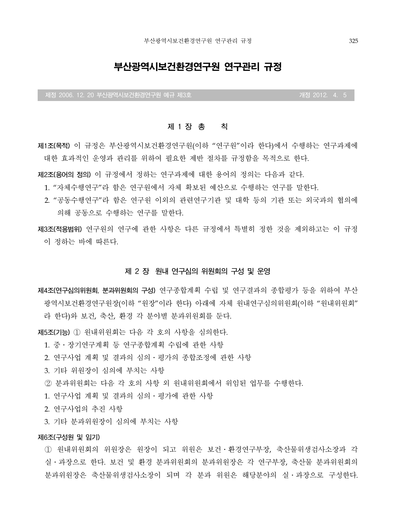## 부산광역시보건환경연구원 연구관리 규정

**제정 2006. 12. 20 부산광역시보건환경연구원 예규 제3호 개정 2012. 4. 5**

### **제 1 장 총 칙**

**제1조(목적)** 이 규정은 부산광역시보건환경연구원(이하 "연구원"이라 한다)에서 수행하는 연구과제에 대한 효과적인 운영과 관리를 위하여 필요한 제반 절차를 규정함을 목적으로 한다.

- **제2조(용어의 정의)** 이 규정에서 정하는 연구과제에 대한 용어의 정의는 다음과 같다.
	- 1. "자체수행연구"라 함은 연구원에서 자체 확보된 예산으로 수행하는 연구를 말한다.
	- 2. "공동수행연구"라 함은 연구원 이외의 관련연구기관 및 대학 등의 기관 또는 외국과의 협의에 의해 공동으로 수행하는 연구를 말한다.
- **제3조(적용범위)** 연구원의 연구에 관한 사항은 다른 규정에서 특별히 정한 것을 제외하고는 이 규정 이 정하는 바에 따른다.

#### **제 2 장 원내 연구심의 위원회의 구성 및 운영**

**제4조(연구심의위원회, 분과위원회의 구성)** 연구종합계획 수립 및 연구결과의 종합평가 등을 위하여 부산 광역시보건환경연구원장(이하 "원장"이라 한다) 아래에 자체 원내연구심의위원회(이하 "원내위원회" 라 한다)와 보건, 축산, 환경 각 분야별 분과위원회를 둔다.

**제5조(기능)** ① 원내위원회는 다음 각 호의 사항을 심의한다.

- 1. 중․장기연구계획 등 연구종합계획 수립에 관한 사항
- 2. 연구사업 계획 및 결과의 심의․평가의 종합조정에 관한 사항
- 3. 기타 위원장이 심의에 부치는 사항
- ② 분과위원회는 다음 각 호의 사항 외 원내위원회에서 위임된 업무를 수행한다.
- 1. 연구사업 계획 및 결과의 심의․평가에 관한 사항
- 2. 연구사업의 추진 사항
- 3. 기타 분과위원장이 심의에 부치는 사항

#### **제6조(구성원 및 임기)**

 ① 원내위원회의 위원장은 원장이 되고 위원은 보건․환경연구부장, 축산물위생검사소장과 각 실․과장으로 한다. 보건 및 환경 분과위원회의 분과위원장은 각 연구부장, 축산물 분과위원회의 분과위원장은 축산물위생검사소장이 되며 각 분과 위원은 해당분야의 실․과장으로 구성한다.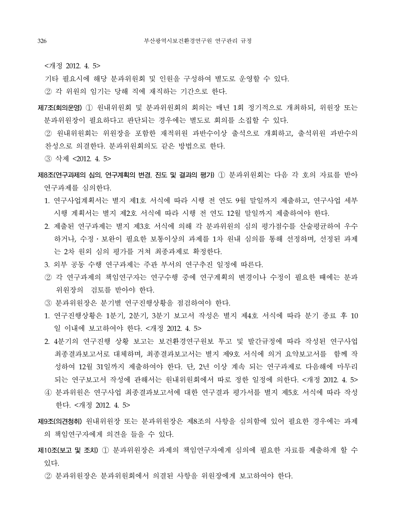<개정 2012. 4. 5>

기타 필요시에 해당 분과위원회 및 인원을 구성하여 별도로 운영할 수 있다.

② 각 위원의 임기는 당해 직에 재직하는 기간으로 한다.

**제7조(회의운영)** ① 원내위원회 및 분과위원회의 회의는 매년 1회 정기적으로 개최하되, 위원장 또는 분과위원장이 필요하다고 판단되는 경우에는 별도로 회의를 소집할 수 있다.

 ② 원내위원회는 위원장을 포함한 재적위원 과반수이상 출석으로 개회하고, 출석위원 과반수의 찬성으로 의결한다. 분과위원회의도 같은 방법으로 한다.

③ 삭제 <2012. 4. 5>

- **제8조(연구과제의 심의, 연구계획의 변경, 진도 및 결과의 평가)** ① 분과위원회는 다음 각 호의 자료를 받아 연구과제를 심의한다.
	- 1. 연구사업계획서는 별지 제1호 서식에 따라 시행 전 연도 9월 말일까지 제출하고, 연구사업 세부 시행 계획서는 별지 제2호 서식에 따라 시행 전 연도 12월 말일까지 제출하여야 한다.
	- 2. 제출된 연구과제는 별지 제3호 서식에 의해 각 분과위원의 심의 평가점수를 산술평균하여 우수 하거나, 수정․보완이 필요한 보통이상의 과제를 1차 원내 심의를 통해 선정하며, 선정된 과제 는 2차 원외 심의 평가를 거쳐 최종과제로 확정한다.
	- 3. 외부 공동 수행 연구과제는 주관 부서의 연구추진 일정에 따른다.
	- ② 각 연구과제의 책임연구자는 연구수행 중에 연구계획의 변경이나 수정이 필요한 때에는 분과 위원장의 검토를 받아야 한다.
	- ③ 분과위원장은 분기별 연구진행상황을 점검하여야 한다.
	- 1. 연구진행상황은 1분기, 2분기, 3분기 보고서 작성은 별지 제4호 서식에 따라 분기 종료 후 10 일 이내에 보고하여야 한다. <개정 2012. 4. 5>
	- 2. 4분기의 연구진행 상황 보고는 보건환경연구원보 투고 및 발간규정에 따라 작성된 연구사업 최종결과보고서로 대체하며, 최종결과보고서는 별지 제9호 서식에 의거 요약보고서를 함께 작 성하여 12월 31일까지 제출하여야 한다. 단, 2년 이상 계속 되는 연구과제로 다음해에 마무리 되는 연구보고서 작성에 관해서는 원내위원회에서 따로 정한 일정에 의한다. <개정 2012. 4. 5>
	- ④ 분과위원은 연구사업 최종결과보고서에 대한 연구결과 평가서를 별지 제5호 서식에 따라 작성 한다. <개정 2012. 4. 5>
- **제9조(의견청취)** 원내위원장 또는 분과위원장은 제8조의 사항을 심의함에 있어 필요한 경우에는 과제 의 책임연구자에게 의견을 들을 수 있다.
- **제10조(보고 및 조치)** ① 분과위원장은 과제의 책임연구자에게 심의에 필요한 자료를 제출하게 할 수 있다.
	- ② 분과위원장은 분과위원회에서 의결된 사항을 위원장에게 보고하여야 한다.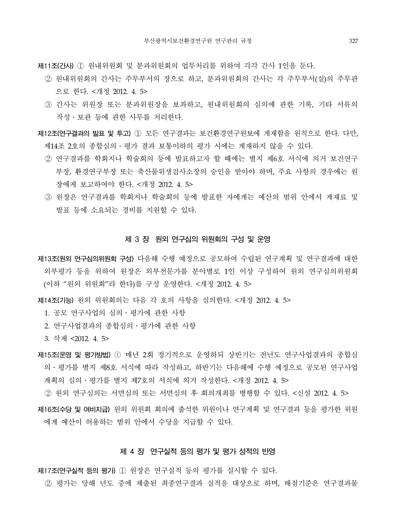**제11조(간사)** ① 원내위원회 및 분과위원회의 업무처리를 위하여 각각 간사 1인을 둔다.

- ② 원내위원회의 간사는 주무부서의 장으로 하고, 분과위원회의 간사는 각 주무부서(실)의 주무관 으로 한다. <개정 2012. 4. 5>
- ③ 간사는 위원장 또는 분과위원장을 보좌하고, 원내위원회의 심의에 관한 기록, 기타 서류의 작성․보관 등에 관한 사무를 처리한다.
- **제12조(연구결과의 발표 및 투고)** ① 모든 연구결과는 보건환경연구원보에 게재함을 원칙으로 한다. 다만, 제14조 2호의 종합심의․평가 결과 보통이하의 평가 시에는 게재하지 않을 수 있다.
	- ② 연구결과를 학회지나 학술회의 등에 발표하고자 할 때에는 별지 제6호 서식에 의거 보건연구 부장, 환경연구부장 또는 축산물위생검사소장의 승인을 받아야 하며, 주요 사항의 경우에는 원 장에게 보고하여야 한다. <개정 2012. 4. 5>
	- ③ 원장은 연구결과를 학회지나 학술회의 등에 발표한 자에게는 예산의 범위 안에서 게재료 및 발표 등에 소요되는 경비를 지원할 수 있다.

#### **제 3 장 원외 연구심의 위원회의 구성 및 운영**

- **제13조(원외 연구심의위원회 구성)** 다음해 수행 예정으로 공모하여 수립된 연구계획 및 연구결과에 대한 외부평가 등을 위하여 원장은 외부전문가를 분야별로 1인 이상 구성하여 원외 연구심의위원회 (이하 "원외 위원회"라 한다)를 구성 운영한다. <개정 2012. 4. 5>
- **제14조(기능)** 원외 위원회의는 다음 각 호의 사항을 심의한다. <개정 2012. 4. 5>
	- 1. 공모 연구사업의 심의 평가에 관한 사항
	- 2. 연구사업결과의 종합심의․평가에 관한 사항
	- 3. 삭제 <2012. 4. 5>
- **제15조(운영 및 평가방법)** ① 매년 2회 정기적으로 운영하되 상반기는 전년도 연구사업결과의 종합심 의․평가를 별지 제8호 서식에 따라 작성하고, 하반기는 다음해에 수행 예정으로 공모된 연구사업 계획의 심의․평가를 별지 제7호의 서식에 의거 작성한다. <개정 2012. 4. 5>

② 원외 연구심의는 서면심의 또는 서면심의 후 회의개최를 병행할 수 있다. <신설 2012. 4. 5>

**제16조(수당 및 여비지급)** 원외 위원회 회의에 출석한 위원이나 연구계획 및 연구결과 등을 평가한 위원 에게 예산이 허용하는 범위 안에서 수당을 지급할 수 있다.

#### **제 4 장 연구실적 등의 평가 및 평가 성적의 반영**

**제17조(연구실적 등의 평가)** ① 원장은 연구실적 등의 평가를 실시할 수 있다. ② 평가는 당해 년도 중에 제출된 최종연구결과 실적을 대상으로 하며, 배점기준은 연구결과물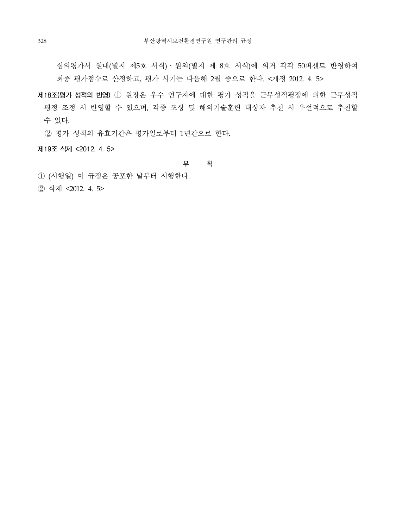심의평가서 원내(별지 제5호 서식)․원외(별지 제 8호 서식)에 의거 각각 50퍼센트 반영하여 최종 평가점수로 산정하고, 평가 시기는 다음해 2월 중으로 한다. <개정 2012. 4. 5>

**제18조(평가 성적의 반영)** ① 원장은 우수 연구자에 대한 평가 성적을 근무성적평정에 의한 근무성적 평정 조정 시 반영할 수 있으며, 각종 포상 및 해외기술훈련 대상자 추천 시 우선적으로 추천할 수 있다.

② 평가 성적의 유효기간은 평가일로부터 1년간으로 한다.

**제19조 삭제 <2012. 4. 5>** 

**부 칙**

① (시행일) 이 규정은 공포한 날부터 시행한다.

② 삭제 <2012. 4. 5>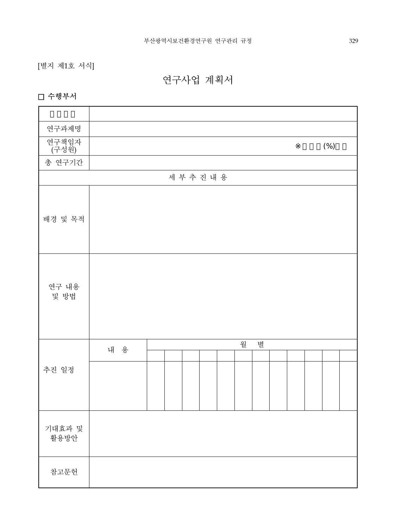[별지 제1호 서식]

연구사업 계획서

□ 수행부서

 $\mathbf{r}$ 

| 연구과제명          |     |        |   |   |        |  |
|----------------|-----|--------|---|---|--------|--|
| 연구책임자<br>(구성원) |     |        |   |   | $(\%)$ |  |
| 총 연구기간         |     |        |   |   |        |  |
|                |     | 세부추진내용 |   |   |        |  |
| 배경 및 목적        |     |        |   |   |        |  |
| 연구 내용<br>및 방법  |     |        |   |   |        |  |
|                | 내 용 |        | 월 | 별 |        |  |
|                |     |        |   |   |        |  |
| 추진 일정          |     |        |   |   |        |  |
| 기대효과 및<br>활용방안 |     |        |   |   |        |  |
| 참고문헌           |     |        |   |   |        |  |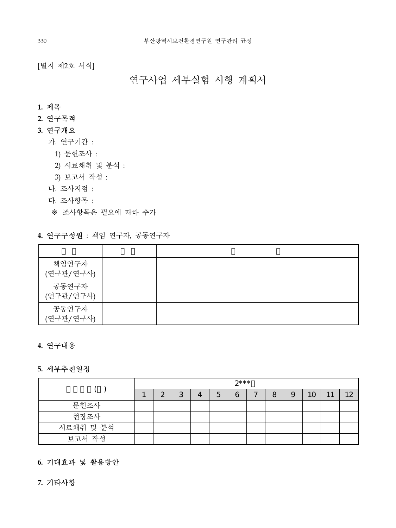[별지 제2호 서식]

# 연구사업 세부실험 시행 계획서

### **1.** 제목

**2.** 연구목적

### **3.** 연구개요

가. 연구기간 :

- 1) 문헌조사 :
- 2) 시료채취 및 분석 :
- 3) 보고서 작성 :
- 나. 조사지점 :
- 다. 조사항목 :

※ 조사항목은 필요에 따라 추가

### **4.** 연구구성원 : 책임 연구자, 공동연구자

| 책임연구자<br>(연구관/연구사) |  |
|--------------------|--|
| 공동연구자<br>(연구관/연구사) |  |
| 공동연구자<br>(연구관/연구사) |  |

### **4.** 연구내용

### **5.** 세부추진일정

|           |  | $2***$       |   |   |   |   |        |   |   |    |    |
|-----------|--|--------------|---|---|---|---|--------|---|---|----|----|
|           |  | $\mathbf{2}$ | 3 | 4 | 5 | 6 | $\sim$ | 8 | 9 | 10 | 12 |
| 문헌조사      |  |              |   |   |   |   |        |   |   |    |    |
| 현장조사      |  |              |   |   |   |   |        |   |   |    |    |
| 시료채취 및 분석 |  |              |   |   |   |   |        |   |   |    |    |
| 보고서 작성    |  |              |   |   |   |   |        |   |   |    |    |

### **6.** 기대효과 및 활용방안

**7.** 기타사항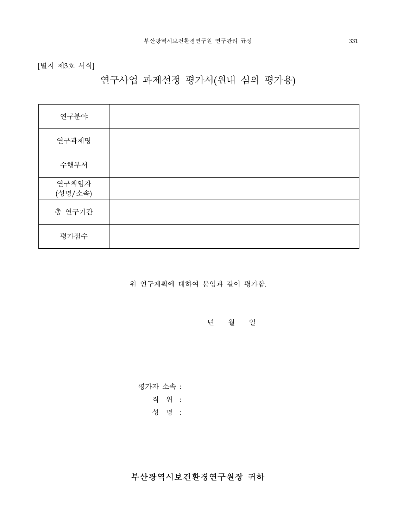# 부산광역시보건환경연구원장 귀하

# 평가자 소속 : 직 위 : 성 명 :

년 월 일

위 연구계획에 대하여 붙임과 같이 평가함.

| 연구분야             |  |
|------------------|--|
| 연구과제명            |  |
| 수행부서             |  |
| 연구책임자<br>(성명/소속) |  |
| 총 연구기간           |  |
| 평가점수             |  |

# 연구사업 과제선정 평가서(원내 심의 평가용)

[별지 제3호 서식]

I

I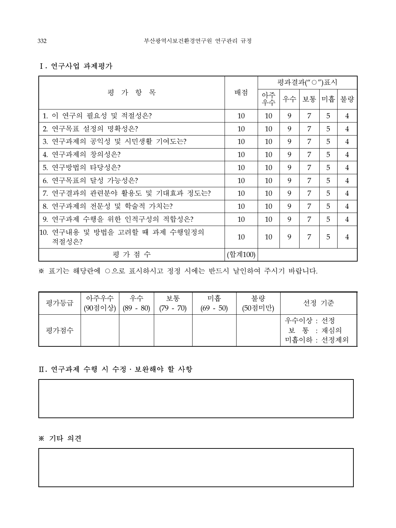### Ⅰ**.** 연구사업 과제평가

|                                        |         | 평과결과("○")표시 |    |                |    |                |  |
|----------------------------------------|---------|-------------|----|----------------|----|----------------|--|
| 평<br>가 항 목                             | 배점      | 아주<br>우수    | 우수 | 보통             | 미흡 | 불량             |  |
| 1. 이 연구의 필요성 및 적절성은?                   | 10      | 10          | 9  | 7              | 5  | $\overline{4}$ |  |
| 2. 연구목표 설정의 명확성은?                      | 10      | 10          | 9  | 7              | 5  | $\overline{4}$ |  |
| 3. 연구과제의 공익성 및 시민생활 기여도는?              | 10      | 10          | 9  | $\overline{7}$ | 5  | $\overline{4}$ |  |
| 4. 연구과제의 창의성은?                         | 10      | 10          | 9  | $\overline{7}$ | 5  | $\overline{4}$ |  |
| 5. 연구방법의 타당성은?                         | 10      | 10          | 9  | $\overline{7}$ | 5  | $\overline{4}$ |  |
| 6. 연구목표의 달성 가능성은?                      | 10      | 10          | 9  | 7              | 5  | $\overline{4}$ |  |
| 7. 연구결과의 관련분야 활용도 및 기대효과 정도는?          | 10      | 10          | 9  | 7              | 5  | $\overline{4}$ |  |
| 8. 연구과제의 전문성 및 학술적 가치는?                | 10      | 10          | 9  | $\overline{7}$ | 5  | $\overline{4}$ |  |
| 9. 연구과제 수행을 위한 인적구성의 적합성은?             | 10      | 10          | 9  | $\overline{7}$ | 5  | $\overline{4}$ |  |
| 10. 연구내용 및 방법을 고려할 때 과제 수행일정의<br>적절성은? | 10      | 10          | 9  | $\overline{7}$ | 5  | $\overline{4}$ |  |
| 평가점수                                   | (합계100) |             |    |                |    |                |  |

※ 표기는 해당란에 ○으로 표시하시고 정정 시에는 반드시 날인하여 주시기 바랍니다.

| 평가등급 | 아주우수<br>(90점이상)   (89 - 80) | 우수 | 보통<br>$(79 - 70)$ | 미흡<br>$(69 - 50)$ | 불량<br>(50점미만) | 선정 기주                                 |
|------|-----------------------------|----|-------------------|-------------------|---------------|---------------------------------------|
| 평가점수 |                             |    |                   |                   |               | 우수이상 : 선정<br>보 통 : 재심의<br>미흡이하 : 선정제외 |

### Ⅱ**.** 연구과제 수행 시 수정․보완해야 할 사항

### ※ 기타 의견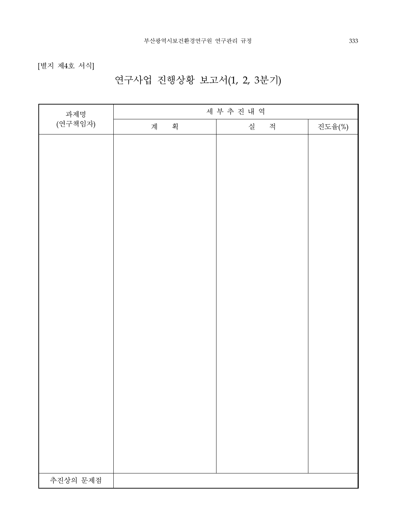[별지 제4호 서식]

# 연구사업 진행상황 보고서(1, 2, 3분기)

| 과제명      |   |   | 세부추진내역 |        |
|----------|---|---|--------|--------|
| (연구책임자)  | 계 | 획 | 실<br>적 | 진도율(%) |
|          |   |   |        |        |
|          |   |   |        |        |
|          |   |   |        |        |
|          |   |   |        |        |
|          |   |   |        |        |
|          |   |   |        |        |
|          |   |   |        |        |
|          |   |   |        |        |
|          |   |   |        |        |
|          |   |   |        |        |
|          |   |   |        |        |
|          |   |   |        |        |
|          |   |   |        |        |
|          |   |   |        |        |
|          |   |   |        |        |
|          |   |   |        |        |
|          |   |   |        |        |
|          |   |   |        |        |
|          |   |   |        |        |
|          |   |   |        |        |
|          |   |   |        |        |
|          |   |   |        |        |
| 추진상의 문제점 |   |   |        |        |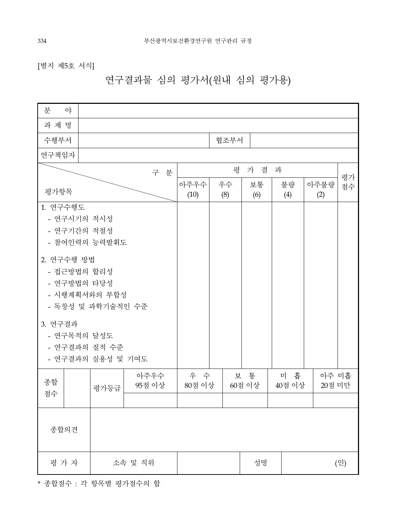| 분<br>야                                                  |                                    |                                |           |           |               |             |                 |  |
|---------------------------------------------------------|------------------------------------|--------------------------------|-----------|-----------|---------------|-------------|-----------------|--|
| 과 제 명                                                   |                                    |                                |           |           |               |             |                 |  |
| 수행부서                                                    |                                    |                                | 협조부서      |           |               |             |                 |  |
| 연구책임자                                                   |                                    |                                |           |           |               |             |                 |  |
|                                                         | 구 분                                | 가 결<br>평<br>과                  |           |           |               |             |                 |  |
| 평가항목                                                    |                                    | 아주우수<br>(10)                   | 우수<br>(8) | 보통<br>(6) | 불량<br>(4)     | 아주불량<br>(2) | 평가<br>점수        |  |
| 1. 연구수행도<br>- 연구시기의 적시성<br>- 연구기간의 적절성<br>- 참여인력의 능력발휘도 |                                    |                                |           |           |               |             |                 |  |
| 2. 연구수행 방법<br>- 접근방법의 합리성<br>- 연구방법의 타당성                | - 시행계획서와의 부합성<br>- 독창성 및 과학기술적인 수준 |                                |           |           |               |             |                 |  |
| 3. 연구결과<br>- 연구목적의 달성도<br>- 연구결과의 질적 수준                 | - 연구결과의 실용성 및 기여도                  |                                |           |           |               |             |                 |  |
| 종합<br>점수                                                | 아주우수<br>95점 이상<br>평가등급             | 우 수<br>보 통<br>80점 이상<br>60점 이상 |           |           | 미 흡<br>40점 이상 |             | 아주 미흡<br>20점 미만 |  |
| 종합의견                                                    |                                    |                                |           |           |               |             |                 |  |
| 평가자                                                     |                                    |                                | 성명        |           |               | (인)         |                 |  |

연구결과물 심의 평가서(원내 심의 평가용)

[별지 제5호 서식]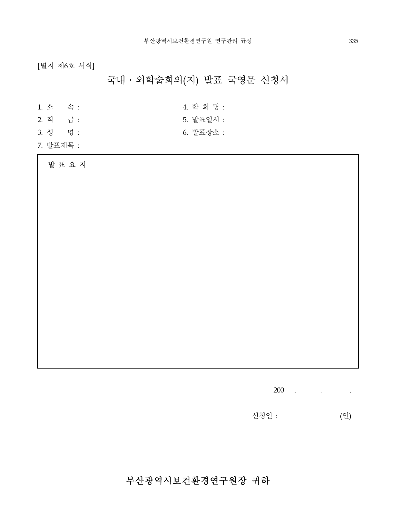[별지 제6호 서식]

국내․외학술회의(지) 발표 국영문 신청서

| 1. 소 속 :  |       |  | 4. 학 회 명 : |
|-----------|-------|--|------------|
| 2. 직      | - 금 : |  | 5. 발표일시 :  |
| 3. 성      | - 명 : |  | 6. 발표장소 :  |
| 7. 발표제목 : |       |  |            |

발 표 요 지

200 . . .

신청인 : (인)

부산광역시보건환경연구원장 귀하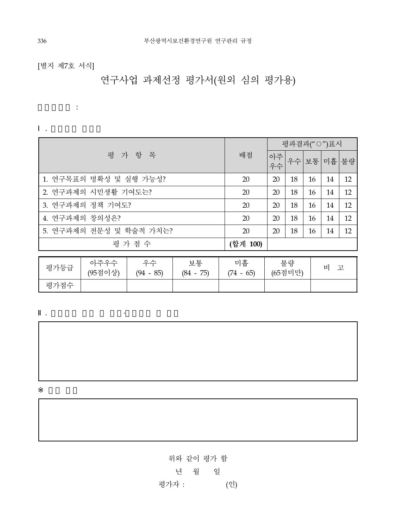[별지 제7호 서식]

연구과제명 :

Ⅰ. 연구과제 평가서

평가점수

Ⅱ. 연구과제 수행 시 수정․보완해야 할 사항

연구사업 과제선정 평가서(원외 심의 평가용)

|                                                                   |                         |          |          | 평과결과("○")표시       |    |               |    |    |    |
|-------------------------------------------------------------------|-------------------------|----------|----------|-------------------|----|---------------|----|----|----|
|                                                                   | 평<br>가 항 목              | 배점       | 아주<br>우수 | 우수                | 보통 | 미흡            | 불량 |    |    |
|                                                                   | 1. 연구목표의 명확성 및 실행 가능성?  |          |          | 20                | 20 | 18            | 16 | 14 | 12 |
|                                                                   | 2. 연구과제의 시민생활 기여도는?     | 20       | 20       | 18                | 16 | 14            | 12 |    |    |
|                                                                   | 3. 연구과제의 정책 기여도?        | 20       | 20       | 18                | 16 | 14            | 12 |    |    |
|                                                                   | 4. 연구과제의 창의성은?          |          |          | 20                | 20 | 18            | 16 | 14 | 12 |
|                                                                   | 5. 연구과제의 전문성 및 학술적 가치는? |          |          | 20                | 20 | 18            | 16 | 14 | 12 |
|                                                                   | 평가점수                    | (합계 100) |          |                   |    |               |    |    |    |
|                                                                   |                         |          |          |                   |    |               |    |    |    |
| 우수<br>아주우수<br>보통<br>평가등급<br>(95점이상)<br>$(94 - 85)$<br>$(84 - 75)$ |                         |          |          | 미흡<br>$(74 - 65)$ |    | 불량<br>(65점미만) |    | H  | 고  |

위와 같이 평가 함 년 월 일 평가자 : (인)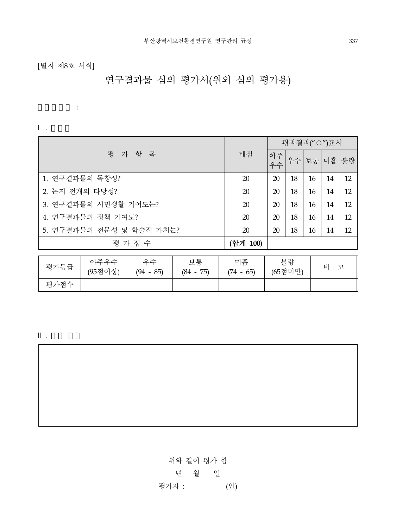[별지 제8호 서식]

연구과제명 :

Ⅰ. 평가표

Ⅱ. 심의 의견

연구결과물 심의 평가서(원외 심의 평가용)

|                |                          |                   | 평과결과("○")표시       |                   |       |               |    |        |    |
|----------------|--------------------------|-------------------|-------------------|-------------------|-------|---------------|----|--------|----|
|                | 평<br>가 항 목               | 배점                | 아주<br>우수          |                   | 우수 보통 | 미흡            | 불량 |        |    |
|                | 1. 연구결과물의 독창성?           | 20                | 20                | 18                | 16    | 14            | 12 |        |    |
| 2. 논지 전개의 타당성? |                          | 20                | 20                | 18                | 16    | 14            | 12 |        |    |
|                | 3. 연구결과물의 시민생활 기여도는?     | 20                | 20                | 18                | 16    | 14            | 12 |        |    |
|                | 4. 연구결과물의 정책 기여도?        |                   |                   | 20                | 20    | 18            | 16 | 14     | 12 |
|                | 5. 연구결과물의 전문성 및 학술적 가치는? |                   |                   | 20                | 20    | 18            | 16 | 14     | 12 |
|                |                          | 평가점수              |                   | (합계 100)          |       |               |    |        |    |
|                |                          |                   |                   |                   |       |               |    |        |    |
| 평가등급           | 아주우수<br>(95점이상)          | 우수<br>$(94 - 85)$ | 보통<br>$(84 - 75)$ | 미흡<br>$(74 - 65)$ |       | 불량<br>(65점미만) |    | 비<br>고 |    |
| 평가점수           |                          |                   |                   |                   |       |               |    |        |    |

위와 같이 평가 함 년 월 일 평가자 : (인)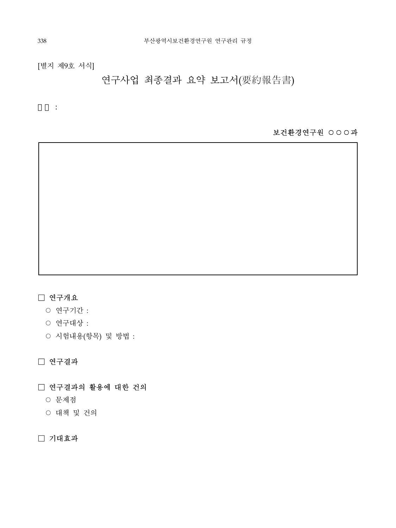[별지 제9호 서식]

 $\ddot{\phantom{a}}$  :

# 연구사업 최종결과 요약 보고서(要約報告書)

보건환경연구원 ○○○과

### □ 연구개요

- 연구기간 :
- 연구대상 :
- 시험내용(항목) 및 방법 :

### □ 연구결과

### □ 연구결과의 활용에 대한 건의

- 문제점
- 대책 및 건의

### □ 기대효과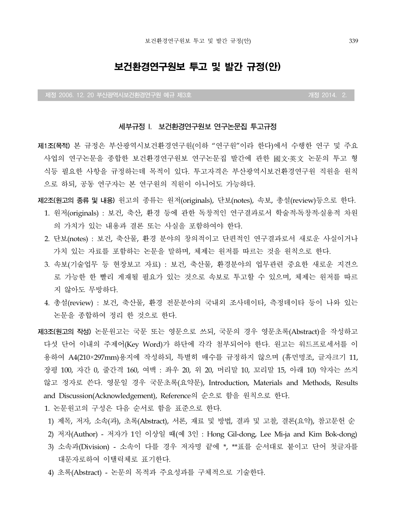## 보건환경연구원보 투고 및 발간 규정(안)

**제정 2006. 12. 20 부산광역시보건환경연구원 예규 제3호 개정 2014. 2.**

# **세부규정 I. 보건환경연구원보 연구논문집 투고규정**

- **제1조(목적)** 본 규정은 부산광역시보건환경연구원(이하 "연구원"이라 한다)에서 수행한 연구 및 주요 사업의 연구논문을 종합한 보건환경연구원보 연구논문집 발간에 관한 國文·英文 논문의 투고 형 식등 필요한 사항을 규정하는데 목적이 있다. 투고자격은 부산광역시보건환경연구원 직원을 원칙 으로 하되, 공동 연구자는 본 연구원의 직원이 아니어도 가능하다.
- **제2조(원고의 종류 및 내용)** 원고의 종류는 원저(originals), 단보(notes), 속보, 총설(review)등으로 한다.
	- 1. 원저(originals) : 보건, 축산, 환경 등에 관한 독창적인 연구결과로서 학술적․독창적․실용적 차원 의 가치가 있는 내용과 결론 또는 사실을 포함하여야 한다.
	- 2. 단보(notes) : 보건, 축산물, 환경 분야의 창의적이고 단편적인 연구결과로서 새로운 사실이거나 가치 있는 자료를 포함하는 논문을 말하며, 체제는 원저를 따르는 것을 원칙으로 한다.
	- 3. 속보(기술업무 등 현장보고 자료) : 보건, 축산물, 환경분야의 업무관련 중요한 새로운 지견으 로 가능한 한 빨리 게재될 필요가 있는 것으로 속보로 투고할 수 있으며, 체제는 원저를 따르 지 않아도 무방하다.
	- 4. 총설(review) : 보건, 축산물, 환경 전문분야의 국내외 조사데이타, 측정데이타 등이 나와 있는 논문을 종합하여 정리 한 것으로 한다.
- **제3조(원고의 작성)** 논문원고는 국문 또는 영문으로 쓰되, 국문의 경우 영문초록(Abstract)을 작성하고 다섯 단어 이내의 주제어(Key Word)가 하단에 각각 첨부되어야 한다. 원고는 워드프로세서를 이 용하여 A4(210×297mm)용지에 작성하되, 특별히 매수를 규정하지 않으며 (휴먼명조, 글자크기 11, 장평 100, 자간 0, 줄간격 160, 여백 : 좌우 20, 위 20, 머리말 10, 꼬리말 15, 아래 10) 약자는 쓰지 않고 정자로 쓴다. 영문일 경우 국문초록(요약문), Introduction, Materials and Methods, Results and Discussion(Acknowledgement), Reference의 순으로 함을 원칙으로 한다.
	- 1. 논문원고의 구성은 다음 순서로 함을 표준으로 한다.
	- 1) 제목, 저자, 소속(과), 초록(Abstract), 서론, 재료 및 방법, 결과 및 고찰, 결론(요약), 참고문헌 순
	- 2) 저자(Author) 저자가 1인 이상일 때(예 3인 : Hong Gil-dong, Lee Mi-ja and Kim Bok-dong)
	- 3) 소속과(Division) 소속이 다를 경우 저자명 끝에 \*, \*\*표를 순서대로 붙이고 단어 첫글자를 대문자로하여 이탤릭체로 표기한다.
	- 4) 초록(Abstract) 논문의 목적과 주요성과를 구체적으로 기술한다.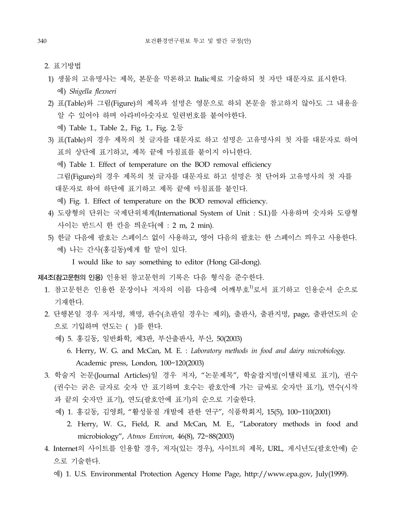- 2. 표기방법
- 1) 생물의 고유명사는 제목, 본문을 막론하고 Italic체로 기술하되 첫 자만 대문자로 표시한다. 예) *Shigella flexneri*
- 2) 표(Table)와 그림(Figure)의 제목과 설명은 영문으로 하되 본문을 참고하지 않아도 그 내용을 알 수 있어야 하며 아라비아숫자로 일련번호를 붙여야한다.
	- 예) Table 1., Table 2., Fig. 1., Fig. 2.등
- 3) 표(Table)의 경우 제목의 첫 글자를 대문자로 하고 설명은 고유명사의 첫 자를 대문자로 하여 표의 상단에 표기하고, 제목 끝에 마침표를 붙이지 아니한다.
	- 예) Table 1. Effect of temperature on the BOD removal efficiency 그림(Figure)의 경우 제목의 첫 글자를 대문자로 하고 설명은 첫 단어와 고유명사의 첫 자를 대문자로 하여 하단에 표기하고 제목 끝에 마침표를 붙인다.

예) Fig. 1. Effect of temperature on the BOD removal efficiency.

- 4) 도량형의 단위는 국제단위체계(International System of Unit : S.I.)를 사용하며 숫자와 도량형 사이는 반드시 한 칸을 띄운다(예 : 2 m, 2 min).
- 5) 한글 다음에 괄호는 스페이스 없이 사용하고, 영어 다음의 괄호는 한 스페이스 띄우고 사용한다. 예) 나는 간사(홍길동)에게 할 말이 있다.

I would like to say something to editor (Hong Gil-dong).

**제4조(참고문헌의 인용)** 인용된 참고문헌의 기록은 다음 형식을 준수한다.

- 1. 참고문헌은 인용한 문장이나 저자의 이름 다음에 어깨부호<sup>1)</sup>로서 표기하고 인용순서 순으로 기재한다.
- 2. 단행본일 경우 저자명, 책명, 판수(초판일 경우는 제외), 출판사, 출판지명, page, 출판연도의 순 으로 기입하며 연도는 ( )를 한다.
	- 예) 5. 홍길동, 일반화학, 제3판, 부산출판사, 부산, 50(2003)
		- 6. Herry, W. G. and McCan, M. E. : *Laboratory methods in food and dairy microbiology.* Academic press, London, 100~120(2003)
- 3. 학술지 논문(Journal Articles)일 경우 저자, "논문제목", 학술잡지명(이탤릭체로 표기), 권수 (권수는 굵은 글자로 숫자 만 표기하며 호수는 괄호안에 가는 글싸로 숫자만 표기), 면수(시작 과 끝의 숫자만 표기), 연도(괄호안에 표기)의 순으로 기술한다.
	- 예) 1. 홍길동, 김영희, "활성물질 개발에 관한 연구", 식품학회지, 15(5), 100~110(2001)
		- 2. Herry, W. G., Field, R. and McCan, M. E., "Laboratory methods in food and microbiology", *Atmos Environ*, 46(8), 72~88(2003)
- 4. Internet의 사이트를 인용할 경우, 저자(있는 경우), 사이트의 제목, URL, 게시년도(괄호안에) 순 으로 기술한다.
	- 예) 1. U.S. Environmental Protection Agency Home Page, http://www.epa.gov, July(1999).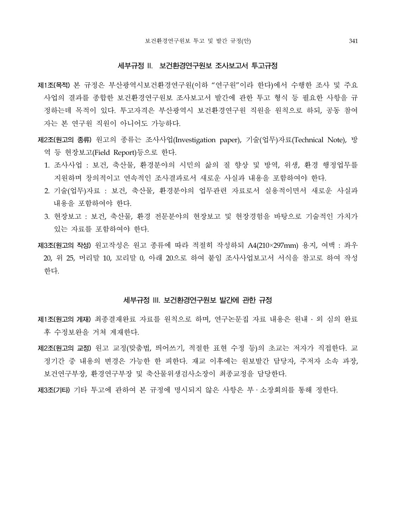#### **세부규정 II. 보건환경연구원보 조사보고서 투고규정**

- **제1조(목적)** 본 규정은 부산광역시보건환경연구원(이하 "연구원"이라 한다)에서 수행한 조사 및 주요 사업의 결과를 종합한 보건환경연구원보 조사보고서 발간에 관한 투고 형식 등 필요한 사항을 규 정하는데 목적이 있다. 투고자격은 부산광역시 보건환경연구원 직원을 원칙으로 하되, 공동 참여 자는 본 연구원 직원이 아니어도 가능하다.
- **제2조(원고의 종류)** 원고의 종류는 조사사업(Investigation paper), 기술(업무)자료(Technical Note), 방 역 등 현장보고(Field Report)등으로 한다.
	- 1. 조사사업 : 보건, 축산물, 환경분야의 시민의 삶의 질 향상 및 방역, 위생, 환경 행정업무를 지원하며 창의적이고 연속적인 조사결과로서 새로운 사실과 내용을 포함하여야 한다.
	- 2. 기술(업무)자료 : 보건, 축산물, 환경분야의 업무관련 자료로서 실용적이면서 새로운 사실과 내용을 포함하여야 한다.
	- 3. 현장보고 : 보건, 축산물, 환경 전문분야의 현장보고 및 현장경험을 바탕으로 기술적인 가치가 있는 자료를 포함하여야 한다.
- **제3조(원고의 작성)** 원고작성은 원고 종류에 따라 적절히 작성하되 A4(210×297mm) 용지, 여백 : 좌우 20, 위 25, 머리말 10, 꼬리말 0, 아래 20으로 하여 붙임 조사사업보고서 서식을 참고로 하여 작성 한다.

#### **세부규정 III. 보건환경연구원보 발간에 관한 규정**

- **제1조(원고의 게재)** 최종결재완료 자료를 원칙으로 하며, 연구논문집 자료 내용은 원내 ․ 외 심의 완료 후 수정보완을 거쳐 게재한다.
- **제2조(원고의 교정)** 원고 교정(맞춤법, 띄어쓰기, 적절한 표현 수정 등)의 초교는 저자가 직접한다. 교 정기간 중 내용의 변경은 가능한 한 피한다. 재교 이후에는 원보발간 담당자, 주저자 소속 과장, 보건연구부장, 환경연구부장 및 축산물위생검사소장이 최종교정을 담당한다.
- **제3조(기타)** 기타 투고에 관하여 본 규정에 명시되지 않은 사항은 부 · 소장회의를 통해 정한다.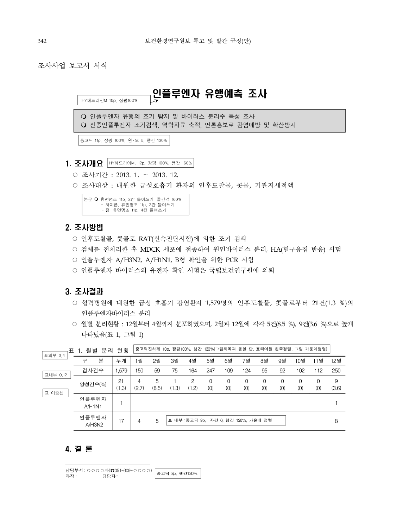조사사업 보고서 서식

|   | 인플루엔자 유행예측 조사<br>HY헤드라인M 16p. 장평100%                                                  |
|---|---------------------------------------------------------------------------------------|
|   | ○ 인플루엔자 유행의 조기 탐지 및 바이러스 분리주 특성 조사<br>○ 신종인플루엔자 조기검색, 역학자료 축적, 언론홍보로 감염예방 및 확산방지      |
|   | 중고딕 11p, 장평 100%, 왼·오 5, 행간 130%                                                      |
|   | 1. 조시개요<br> HY헤드라이M, 12p, 장평 100%, 행간 160%<br>○ 조사기간 : 2013. 1. ~ 2013. 12.           |
| 0 | 조사대상 : 내원한 급성호흡기 환자의 인후도찰물, 콧물, 기관지세척액                                                |
|   | 본문 ○ 휴먼명조 11p, 2칸 들여쓰기, 줄간격 160%<br>- 하이픈, 휴먼명조 11p, 3칸 들여쓰기<br>ㆍ점. 휴먼명조 11p. 4칸 들여쓰기 |

#### 2. 조사방법

- 인후도찰물, 콧물로 RAT(신속진단시험)에 의한 조기 검색
- 검체를 전처리한 후 MDCK 세포에 접종하여 원인바이러스 분리, HA(혈구응집 반응) 시험
- 인플루엔자 A/H3N2, A/H1N1, B형 확인을 위한 PCR 시험
- 인플루엔자 바이러스의 유전자 확인 시험은 국립보건연구원에 의뢰

#### 3. 조사결과

- 협력병원에 내원한 급성 호흡기 감염환자 1,579명의 인후도찰물, 콧물로부터 21건(1.3 %)의 인플루엔자바이러스 분리
- 월별 분리현황 : 12월부터 4월까지 분포하였으며, 2월과 12월에 각각 5건(8.5 %), 9건(3.6 %)으로 높게 나타났음(표 1, 그림 1)

| 표외부 0.4           | 현황<br>월 별<br>분리<br>표 1. |             |            | 중고딕진하게 10p, 장평100%, 행간 130%(그림제목과 동일 단, 표타이틀 왼쪽정렬, 그림 가운데정렬) |       |                                     |                 |                    |          |                 |          |                 |          |            |
|-------------------|-------------------------|-------------|------------|--------------------------------------------------------------|-------|-------------------------------------|-----------------|--------------------|----------|-----------------|----------|-----------------|----------|------------|
|                   | 구<br>분                  | 누계          | 월          | 2월                                                           | 3월    | 4월                                  | 5월              | 6월                 | 7월       | 8월              | 9월       | 10월             | 11월      | 12월        |
| 표내부 0.12<br>표 이중선 | 검사건수                    | .579        | 150        | 59                                                           | 75    | 164                                 | 247             | 109                | 124      | 95              | 92       | 102             | 112      | 250        |
|                   | 양성건수(%)                 | 21<br>(1.3) | 4<br>(2.7) | 5<br>(8.5)                                                   | (1.3) | 2<br>(1.2)                          | $\Omega$<br>(0) | $\mathbf 0$<br>(0) | 0<br>(0) | $\Omega$<br>(0) | 0<br>(0) | $\Omega$<br>(0) | 0<br>(0) | 9<br>(3.6) |
|                   | 인플루엔자<br>A/H1N1         |             |            |                                                              |       |                                     |                 |                    |          |                 |          |                 |          |            |
|                   | 인플루엔자<br>A/H3N2         | 17          | 4          | 5                                                            |       | 표 내부: 중고딕 9p. 자간 0. 행간 130%. 가운데 정렬 |                 |                    |          |                 |          |                 |          | 8          |

### 4. 결론

|      | 담당부서 : ㅇㅇㅇㅇ과(☎051-309-ㅇㅇㅇㅇ) ┃중고딕 8p, 행간130% ┃<br>고자 ·      다다지 · |  |  |
|------|------------------------------------------------------------------|--|--|
| 과장 : | 담당자 :                                                            |  |  |
|      |                                                                  |  |  |